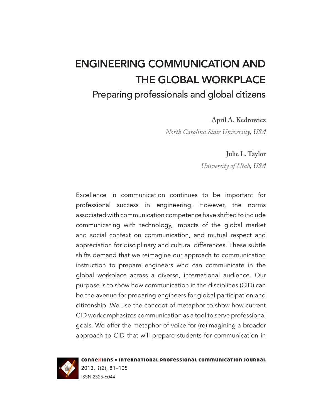# ENGINEERING COMMUNICATION AND THE GLOBAL WORKPLACE Preparing professionals and global citizens

**April A. Kedrowicz**

*[North Carolina State University](http://www.ncsu.edu/), USA* 

**Julie L. Taylor**

*[University of Utah](http://www.utah.edu/), USA*

Excellence in communication continues to be important for professional success in engineering. However, the norms associated with communication competence have shifted to include communicating with technology, impacts of the global market and social context on communication, and mutual respect and appreciation for disciplinary and cultural differences. These subtle shifts demand that we reimagine our approach to communication instruction to prepare engineers who can communicate in the global workplace across a diverse, international audience. Our purpose is to show how communication in the disciplines (CID) can be the avenue for preparing engineers for global participation and citizenship. We use the concept of metaphor to show how current CID work emphasizes communication as a tool to serve professional goals. We offer the metaphor of voice for (re)imagining a broader approach to CID that will prepare students for communication in



connexions • international professional communication journal 2013, *1*(2), 81–105 ISSN 2325-6044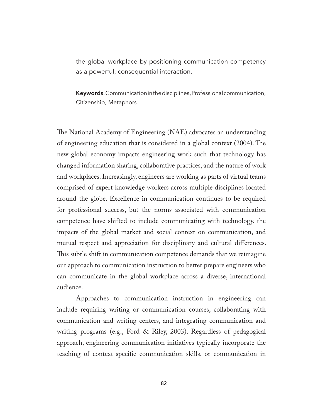the global workplace by positioning communication competency as a powerful, consequential interaction.

Keywords. Communication in the disciplines, Professional communication, Citizenship, Metaphors.

The National Academy of Engineering (NAE) advocates an understanding of engineering education that is considered in a global context (2004). The new global economy impacts engineering work such that technology has changed information sharing, collaborative practices, and the nature of work and workplaces. Increasingly, engineers are working as parts of virtual teams comprised of expert knowledge workers across multiple disciplines located around the globe. Excellence in communication continues to be required for professional success, but the norms associated with communication competence have shifted to include communicating with technology, the impacts of the global market and social context on communication, and mutual respect and appreciation for disciplinary and cultural differences. This subtle shift in communication competence demands that we reimagine our approach to communication instruction to better prepare engineers who can communicate in the global workplace across a diverse, international audience.

Approaches to communication instruction in engineering can include requiring writing or communication courses, collaborating with communication and writing centers, and integrating communication and writing programs (e.g., Ford & Riley, 2003). Regardless of pedagogical approach, engineering communication initiatives typically incorporate the teaching of context-specific communication skills, or communication in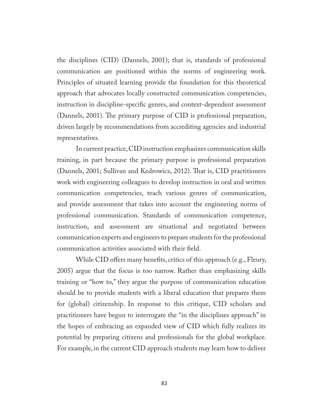the disciplines (CID) (Dannels, 2001); that is, standards of professional communication are positioned within the norms of engineering work. Principles of situated learning provide the foundation for this theoretical approach that advocates locally constructed communication competencies, instruction in discipline-specific genres, and context-dependent assessment (Dannels, 2001). The primary purpose of CID is professional preparation, driven largely by recommendations from accrediting agencies and industrial representatives.

In current practice, CID instruction emphasizes communication skills training, in part because the primary purpose is professional preparation (Dannels, 2001; Sullivan and Kedrowicz, 2012). That is, CID practitioners work with engineering colleagues to develop instruction in oral and written communication competencies, teach various genres of communication, and provide assessment that takes into account the engineering norms of professional communication. Standards of communication competence, instruction, and assessment are situational and negotiated between communication experts and engineers to prepare students for the professional communication activities associated with their field.

While CID offers many benefits, critics of this approach (e.g., Fleury, 2005) argue that the focus is too narrow. Rather than emphasizing skills training or "how to," they argue the purpose of communication education should be to provide students with a liberal education that prepares them for (global) citizenship. In response to this critique, CID scholars and practitioners have begun to interrogate the "in the disciplines approach" in the hopes of embracing an expanded view of CID which fully realizes its potential by preparing citizens and professionals for the global workplace. For example, in the current CID approach students may learn how to deliver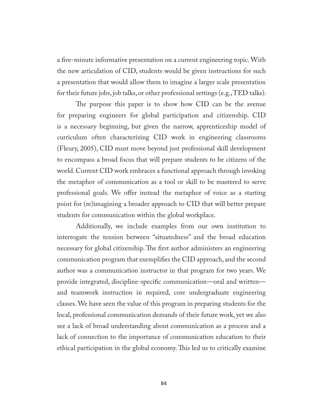a five-minute informative presentation on a current engineering topic. With the new articulation of CID, students would be given instructions for such a presentation that would allow them to imagine a larger scale presentation for their future jobs, job talks, or other professional settings (e.g., TED talks).

The purpose this paper is to show how CID can be the avenue for preparing engineers for global participation and citizenship. CID is a necessary beginning, but given the narrow, apprenticeship model of curriculum often characterizing CID work in engineering classrooms (Fleury, 2005), CID must move beyond just professional skill development to encompass a broad focus that will prepare students to be citizens of the world. Current CID work embraces a functional approach through invoking the metaphor of communication as a tool or skill to be mastered to serve professional goals. We offer instead the metaphor of voice as a starting point for (re)imagining a broader approach to CID that will better prepare students for communication within the global workplace.

Additionally, we include examples from our own institution to interrogate the tension between "situatedness" and the broad education necessary for global citizenship. The first author administers an engineering communication program that exemplifies the CID approach, and the second author was a communication instructor in that program for two years. We provide integrated, discipline-specific communication—oral and written and teamwork instruction in required, core undergraduate engineering classes. We have seen the value of this program in preparing students for the local, professional communication demands of their future work, yet we also see a lack of broad understanding about communication as a process and a lack of connection to the importance of communication education to their ethical participation in the global economy. This led us to critically examine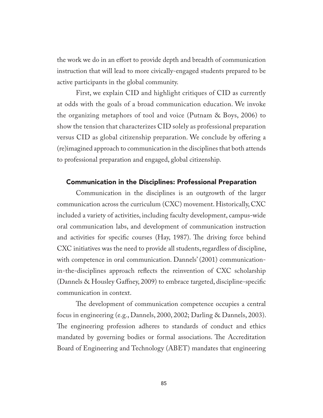the work we do in an effort to provide depth and breadth of communication instruction that will lead to more civically-engaged students prepared to be active participants in the global community.

First, we explain CID and highlight critiques of CID as currently at odds with the goals of a broad communication education. We invoke the organizing metaphors of tool and voice (Putnam & Boys, 2006) to show the tension that characterizes CID solely as professional preparation versus CID as global citizenship preparation. We conclude by offering a (re)imagined approach to communication in the disciplines that both attends to professional preparation and engaged, global citizenship.

## Communication in the Disciplines: Professional Preparation

Communication in the disciplines is an outgrowth of the larger communication across the curriculum (CXC) movement. Historically, CXC included a variety of activities, including faculty development, campus-wide oral communication labs, and development of communication instruction and activities for specific courses (Hay, 1987). The driving force behind CXC initiatives was the need to provide all students, regardless of discipline, with competence in oral communication. Dannels' (2001) communicationin-the-disciplines approach reflects the reinvention of CXC scholarship (Dannels & Housley Gaffney, 2009) to embrace targeted, discipline-specific communication in context.

The development of communication competence occupies a central focus in engineering (e.g., Dannels, 2000, 2002; Darling & Dannels, 2003). The engineering profession adheres to standards of conduct and ethics mandated by governing bodies or formal associations. The Accreditation Board of Engineering and Technology (ABET) mandates that engineering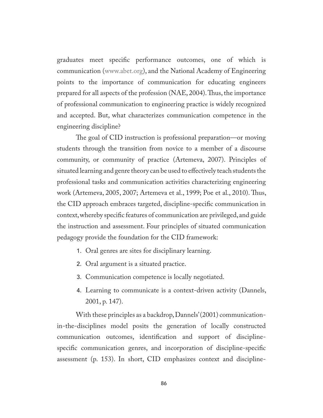graduates meet specific performance outcomes, one of which is communication ([www.abet.org\)](http://www.abet.org/), and the National Academy of Engineering points to the importance of communication for educating engineers prepared for all aspects of the profession (NAE, 2004). Thus, the importance of professional communication to engineering practice is widely recognized and accepted. But, what characterizes communication competence in the engineering discipline?

The goal of CID instruction is professional preparation—or moving students through the transition from novice to a member of a discourse community, or community of practice (Artemeva, 2007). Principles of situated learning and genre theory can be used to effectively teach students the professional tasks and communication activities characterizing engineering work (Artemeva, 2005, 2007; Artemeva et al., 1999; Poe et al., 2010). Thus, the CID approach embraces targeted, discipline-specific communication in context, whereby specific features of communication are privileged, and guide the instruction and assessment. Four principles of situated communication pedagogy provide the foundation for the CID framework:

- 1. Oral genres are sites for disciplinary learning.
- 2. Oral argument is a situated practice.
- 3. Communication competence is locally negotiated.
- 4. Learning to communicate is a context-driven activity (Dannels, 2001, p. 147).

With these principles as a backdrop, Dannels' (2001) communicationin-the-disciplines model posits the generation of locally constructed communication outcomes, identification and support of disciplinespecific communication genres, and incorporation of discipline-specific assessment (p. 153). In short, CID emphasizes context and discipline-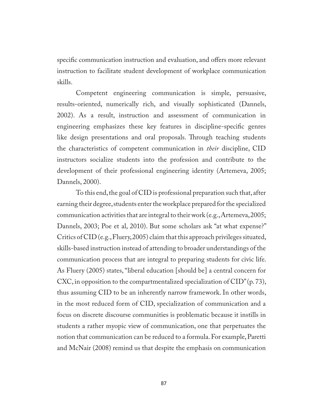specific communication instruction and evaluation, and offers more relevant instruction to facilitate student development of workplace communication skills.

Competent engineering communication is simple, persuasive, results-oriented, numerically rich, and visually sophisticated (Dannels, 2002). As a result, instruction and assessment of communication in engineering emphasizes these key features in discipline-specific genres like design presentations and oral proposals. Through teaching students the characteristics of competent communication in *their* discipline, CID instructors socialize students into the profession and contribute to the development of their professional engineering identity (Artemeva, 2005; Dannels, 2000).

To this end, the goal of CID is professional preparation such that, after earning their degree, students enter the workplace prepared for the specialized communication activities that are integral to their work (e.g., Artemeva, 2005; Dannels, 2003; Poe et al, 2010). But some scholars ask "at what expense?" Critics of CID (e.g., Fluery, 2005) claim that this approach privileges situated, skills-based instruction instead of attending to broader understandings of the communication process that are integral to preparing students for civic life. As Fluery (2005) states, "liberal education [should be] a central concern for CXC, in opposition to the compartmentalized specialization of CID" (p. 73), thus assuming CID to be an inherently narrow framework. In other words, in the most reduced form of CID, specialization of communication and a focus on discrete discourse communities is problematic because it instills in students a rather myopic view of communication, one that perpetuates the notion that communication can be reduced to a formula. For example, Paretti and McNair (2008) remind us that despite the emphasis on communication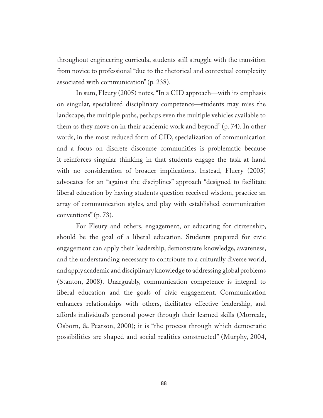throughout engineering curricula, students still struggle with the transition from novice to professional "due to the rhetorical and contextual complexity associated with communication" (p. 238).

In sum, Fleury (2005) notes, "In a CID approach—with its emphasis on singular, specialized disciplinary competence—students may miss the landscape, the multiple paths, perhaps even the multiple vehicles available to them as they move on in their academic work and beyond" (p. 74). In other words, in the most reduced form of CID, specialization of communication and a focus on discrete discourse communities is problematic because it reinforces singular thinking in that students engage the task at hand with no consideration of broader implications. Instead, Fluery (2005) advocates for an "against the disciplines" approach "designed to facilitate liberal education by having students question received wisdom, practice an array of communication styles, and play with established communication conventions" (p. 73).

For Fleury and others, engagement, or educating for citizenship, should be the goal of a liberal education. Students prepared for civic engagement can apply their leadership, demonstrate knowledge, awareness, and the understanding necessary to contribute to a culturally diverse world, and apply academic and disciplinary knowledge to addressing global problems (Stanton, 2008). Unarguably, communication competence is integral to liberal education and the goals of civic engagement. Communication enhances relationships with others, facilitates effective leadership, and affords individual's personal power through their learned skills (Morreale, Osborn, & Pearson, 2000); it is "the process through which democratic possibilities are shaped and social realities constructed" (Murphy, 2004,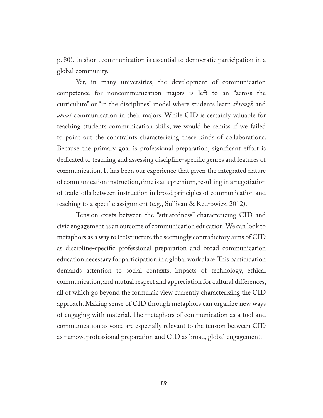p. 80). In short, communication is essential to democratic participation in a global community.

Yet, in many universities, the development of communication competence for noncommunication majors is left to an "across the curriculum" or "in the disciplines" model where students learn *through* and *about* communication in their majors. While CID is certainly valuable for teaching students communication skills, we would be remiss if we failed to point out the constraints characterizing these kinds of collaborations. Because the primary goal is professional preparation, significant effort is dedicated to teaching and assessing discipline-specific genres and features of communication. It has been our experience that given the integrated nature of communication instruction, time is at a premium, resulting in a negotiation of trade-offs between instruction in broad principles of communication and teaching to a specific assignment (e.g., Sullivan & Kedrowicz, 2012).

Tension exists between the "situatedness" characterizing CID and civic engagement as an outcome of communication education. We can look to metaphors as a way to (re)structure the seemingly contradictory aims of CID as discipline-specific professional preparation and broad communication education necessary for participation in a global workplace. This participation demands attention to social contexts, impacts of technology, ethical communication, and mutual respect and appreciation for cultural differences, all of which go beyond the formulaic view currently characterizing the CID approach. Making sense of CID through metaphors can organize new ways of engaging with material. The metaphors of communication as a tool and communication as voice are especially relevant to the tension between CID as narrow, professional preparation and CID as broad, global engagement.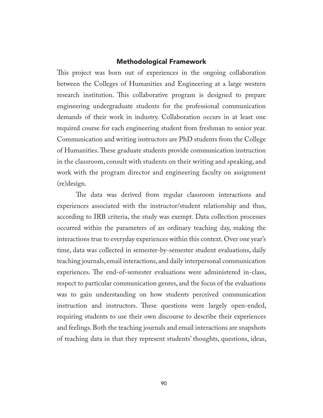#### Methodological Framework

This project was born out of experiences in the ongoing collaboration between the Colleges of Humanities and Engineering at a large western research institution. This collaborative program is designed to prepare engineering undergraduate students for the professional communication demands of their work in industry. Collaboration occurs in at least one required course for each engineering student from freshman to senior year. Communication and writing instructors are PhD students from the College of Humanities. These graduate students provide communication instruction in the classroom, consult with students on their writing and speaking, and work with the program director and engineering faculty on assignment (re)design.

The data was derived from regular classroom interactions and experiences associated with the instructor/student relationship and thus, according to IRB criteria, the study was exempt. Data collection processes occurred within the parameters of an ordinary teaching day, making the interactions true to everyday experiences within this context. Over one year's time, data was collected in semester-by-semester student evaluations, daily teaching journals, email interactions, and daily interpersonal communication experiences. The end-of-semester evaluations were administered in-class, respect to particular communication genres, and the focus of the evaluations was to gain understanding on how students perceived communication instruction and instructors. These questions were largely open-ended, requiring students to use their own discourse to describe their experiences and feelings. Both the teaching journals and email interactions are snapshots of teaching data in that they represent students' thoughts, questions, ideas,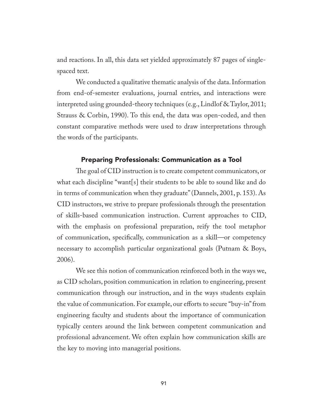and reactions. In all, this data set yielded approximately 87 pages of singlespaced text.

We conducted a qualitative thematic analysis of the data. Information from end-of-semester evaluations, journal entries, and interactions were interpreted using grounded-theory techniques (e.g., Lindlof & Taylor, 2011; Strauss & Corbin, 1990). To this end, the data was open-coded, and then constant comparative methods were used to draw interpretations through the words of the participants.

### Preparing Professionals: Communication as a Tool

The goal of CID instruction is to create competent communicators, or what each discipline "want[s] their students to be able to sound like and do in terms of communication when they graduate" (Dannels, 2001, p. 153). As CID instructors, we strive to prepare professionals through the presentation of skills-based communication instruction. Current approaches to CID, with the emphasis on professional preparation, reify the tool metaphor of communication, specifically, communication as a skill—or competency necessary to accomplish particular organizational goals (Putnam & Boys, 2006).

We see this notion of communication reinforced both in the ways we, as CID scholars, position communication in relation to engineering, present communication through our instruction, and in the ways students explain the value of communication. For example, our efforts to secure "buy-in" from engineering faculty and students about the importance of communication typically centers around the link between competent communication and professional advancement. We often explain how communication skills are the key to moving into managerial positions.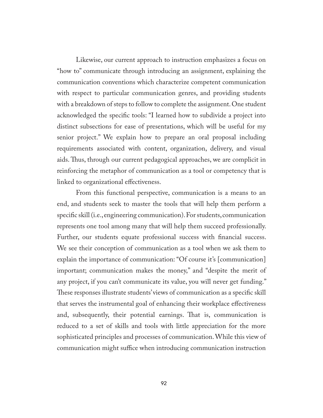Likewise, our current approach to instruction emphasizes a focus on "how to" communicate through introducing an assignment, explaining the communication conventions which characterize competent communication with respect to particular communication genres, and providing students with a breakdown of steps to follow to complete the assignment. One student acknowledged the specific tools: "I learned how to subdivide a project into distinct subsections for ease of presentations, which will be useful for my senior project." We explain how to prepare an oral proposal including requirements associated with content, organization, delivery, and visual aids. Thus, through our current pedagogical approaches, we are complicit in reinforcing the metaphor of communication as a tool or competency that is linked to organizational effectiveness.

From this functional perspective, communication is a means to an end, and students seek to master the tools that will help them perform a specific skill (i.e., engineering communication). For students, communication represents one tool among many that will help them succeed professionally. Further, our students equate professional success with financial success. We see their conception of communication as a tool when we ask them to explain the importance of communication: "Of course it's [communication] important; communication makes the money," and "despite the merit of any project, if you can't communicate its value, you will never get funding." These responses illustrate students' views of communication as a specific skill that serves the instrumental goal of enhancing their workplace effectiveness and, subsequently, their potential earnings. That is, communication is reduced to a set of skills and tools with little appreciation for the more sophisticated principles and processes of communication. While this view of communication might suffice when introducing communication instruction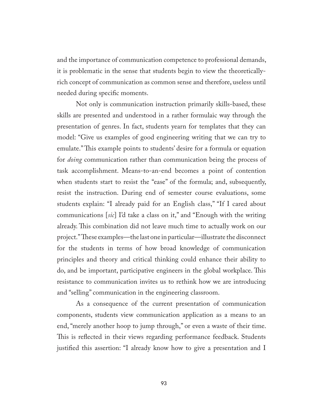and the importance of communication competence to professional demands, it is problematic in the sense that students begin to view the theoreticallyrich concept of communication as common sense and therefore, useless until needed during specific moments.

Not only is communication instruction primarily skills-based, these skills are presented and understood in a rather formulaic way through the presentation of genres. In fact, students yearn for templates that they can model: "Give us examples of good engineering writing that we can try to emulate." This example points to students' desire for a formula or equation for *doing* communication rather than communication being the process of task accomplishment. Means-to-an-end becomes a point of contention when students start to resist the "ease" of the formula; and, subsequently, resist the instruction. During end of semester course evaluations, some students explain: "I already paid for an English class," "If I cared about communications [*sic*] I'd take a class on it," and "Enough with the writing already. This combination did not leave much time to actually work on our project." These examples—the last one in particular—illustrate the disconnect for the students in terms of how broad knowledge of communication principles and theory and critical thinking could enhance their ability to do, and be important, participative engineers in the global workplace. This resistance to communication invites us to rethink how we are introducing and "selling" communication in the engineering classroom.

As a consequence of the current presentation of communication components, students view communication application as a means to an end, "merely another hoop to jump through," or even a waste of their time. This is reflected in their views regarding performance feedback. Students justified this assertion: "I already know how to give a presentation and I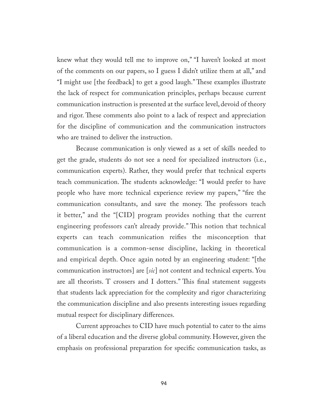knew what they would tell me to improve on," "I haven't looked at most of the comments on our papers, so I guess I didn't utilize them at all," and "I might use [the feedback] to get a good laugh." These examples illustrate the lack of respect for communication principles, perhaps because current communication instruction is presented at the surface level, devoid of theory and rigor. These comments also point to a lack of respect and appreciation for the discipline of communication and the communication instructors who are trained to deliver the instruction.

Because communication is only viewed as a set of skills needed to get the grade, students do not see a need for specialized instructors (i.e., communication experts). Rather, they would prefer that technical experts teach communication. The students acknowledge: "I would prefer to have people who have more technical experience review my papers," "fire the communication consultants, and save the money. The professors teach it better," and the "[CID] program provides nothing that the current engineering professors can't already provide." This notion that technical experts can teach communication reifies the misconception that communication is a common-sense discipline, lacking in theoretical and empirical depth. Once again noted by an engineering student: "[the communication instructors] are [*sic*] not content and technical experts. You are all theorists. T crossers and I dotters." This final statement suggests that students lack appreciation for the complexity and rigor characterizing the communication discipline and also presents interesting issues regarding mutual respect for disciplinary differences.

Current approaches to CID have much potential to cater to the aims of a liberal education and the diverse global community. However, given the emphasis on professional preparation for specific communication tasks, as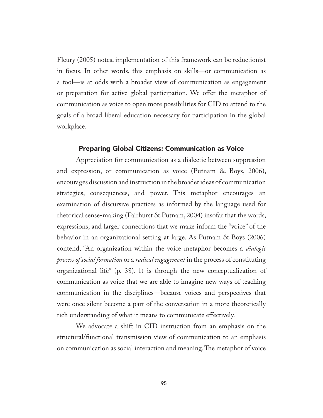Fleury (2005) notes, implementation of this framework can be reductionist in focus. In other words, this emphasis on skills—or communication as a tool—is at odds with a broader view of communication as engagement or preparation for active global participation. We offer the metaphor of communication as voice to open more possibilities for CID to attend to the goals of a broad liberal education necessary for participation in the global workplace.

#### Preparing Global Citizens: Communication as Voice

Appreciation for communication as a dialectic between suppression and expression, or communication as voice (Putnam & Boys, 2006), encourages discussion and instruction in the broader ideas of communication strategies, consequences, and power. This metaphor encourages an examination of discursive practices as informed by the language used for rhetorical sense-making (Fairhurst & Putnam, 2004) insofar that the words, expressions, and larger connections that we make inform the "voice" of the behavior in an organizational setting at large. As Putnam & Boys (2006) contend, "An organization within the voice metaphor becomes a *dialogic process of social formation* or a *radical engagement* in the process of constituting organizational life" (p. 38). It is through the new conceptualization of communication as voice that we are able to imagine new ways of teaching communication in the disciplines—because voices and perspectives that were once silent become a part of the conversation in a more theoretically rich understanding of what it means to communicate effectively.

We advocate a shift in CID instruction from an emphasis on the structural/functional transmission view of communication to an emphasis on communication as social interaction and meaning. The metaphor of voice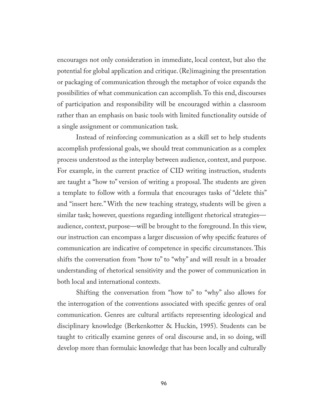encourages not only consideration in immediate, local context, but also the potential for global application and critique. (Re)imagining the presentation or packaging of communication through the metaphor of voice expands the possibilities of what communication can accomplish. To this end, discourses of participation and responsibility will be encouraged within a classroom rather than an emphasis on basic tools with limited functionality outside of a single assignment or communication task.

Instead of reinforcing communication as a skill set to help students accomplish professional goals, we should treat communication as a complex process understood as the interplay between audience, context, and purpose. For example, in the current practice of CID writing instruction, students are taught a "how to" version of writing a proposal. The students are given a template to follow with a formula that encourages tasks of "delete this" and "insert here." With the new teaching strategy, students will be given a similar task; however, questions regarding intelligent rhetorical strategies audience, context, purpose—will be brought to the foreground. In this view, our instruction can encompass a larger discussion of why specific features of communication are indicative of competence in specific circumstances. This shifts the conversation from "how to" to "why" and will result in a broader understanding of rhetorical sensitivity and the power of communication in both local and international contexts.

Shifting the conversation from "how to" to "why" also allows for the interrogation of the conventions associated with specific genres of oral communication. Genres are cultural artifacts representing ideological and disciplinary knowledge (Berkenkotter & Huckin, 1995). Students can be taught to critically examine genres of oral discourse and, in so doing, will develop more than formulaic knowledge that has been locally and culturally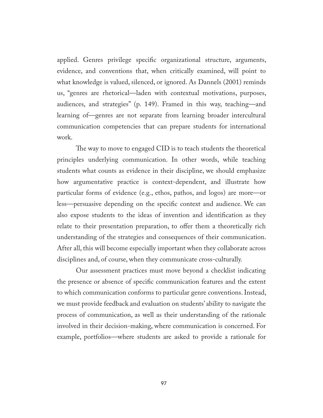applied. Genres privilege specific organizational structure, arguments, evidence, and conventions that, when critically examined, will point to what knowledge is valued, silenced, or ignored. As Dannels (2001) reminds us, "genres are rhetorical—laden with contextual motivations, purposes, audiences, and strategies" (p. 149). Framed in this way, teaching—and learning of—genres are not separate from learning broader intercultural communication competencies that can prepare students for international work.

The way to move to engaged CID is to teach students the theoretical principles underlying communication. In other words, while teaching students what counts as evidence in their discipline, we should emphasize how argumentative practice is context-dependent, and illustrate how particular forms of evidence (e.g., ethos, pathos, and logos) are more—or less—persuasive depending on the specific context and audience. We can also expose students to the ideas of invention and identification as they relate to their presentation preparation, to offer them a theoretically rich understanding of the strategies and consequences of their communication. After all, this will become especially important when they collaborate across disciplines and, of course, when they communicate cross-culturally.

Our assessment practices must move beyond a checklist indicating the presence or absence of specific communication features and the extent to which communication conforms to particular genre conventions. Instead, we must provide feedback and evaluation on students' ability to navigate the process of communication, as well as their understanding of the rationale involved in their decision-making, where communication is concerned. For example, portfolios—where students are asked to provide a rationale for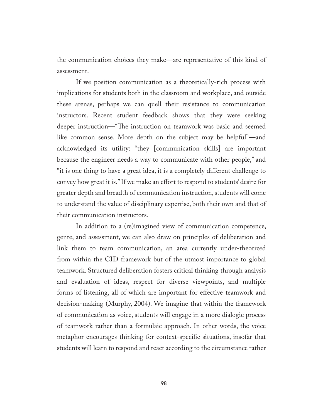the communication choices they make—are representative of this kind of assessment.

If we position communication as a theoretically-rich process with implications for students both in the classroom and workplace, and outside these arenas, perhaps we can quell their resistance to communication instructors. Recent student feedback shows that they were seeking deeper instruction—"The instruction on teamwork was basic and seemed like common sense. More depth on the subject may be helpful"—and acknowledged its utility: "they [communication skills] are important because the engineer needs a way to communicate with other people," and "it is one thing to have a great idea, it is a completely different challenge to convey how great it is." If we make an effort to respond to students' desire for greater depth and breadth of communication instruction, students will come to understand the value of disciplinary expertise, both their own and that of their communication instructors.

In addition to a (re)imagined view of communication competence, genre, and assessment, we can also draw on principles of deliberation and link them to team communication, an area currently under-theorized from within the CID framework but of the utmost importance to global teamwork. Structured deliberation fosters critical thinking through analysis and evaluation of ideas, respect for diverse viewpoints, and multiple forms of listening, all of which are important for effective teamwork and decision-making (Murphy, 2004). We imagine that within the framework of communication as voice, students will engage in a more dialogic process of teamwork rather than a formulaic approach. In other words, the voice metaphor encourages thinking for context-specific situations, insofar that students will learn to respond and react according to the circumstance rather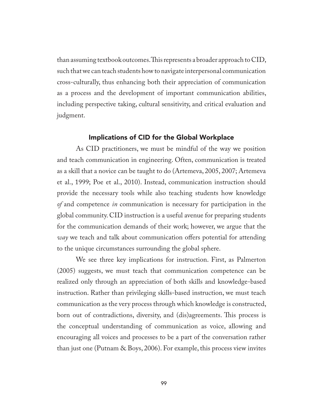than assuming textbook outcomes. This represents a broader approach to CID, such that we can teach students how to navigate interpersonal communication cross-culturally, thus enhancing both their appreciation of communication as a process and the development of important communication abilities, including perspective taking, cultural sensitivity, and critical evaluation and judgment.

## Implications of CID for the Global Workplace

As CID practitioners, we must be mindful of the way we position and teach communication in engineering. Often, communication is treated as a skill that a novice can be taught to do (Artemeva, 2005, 2007; Artemeva et al., 1999; Poe et al., 2010). Instead, communication instruction should provide the necessary tools while also teaching students how knowledge *of* and competence *in* communication is necessary for participation in the global community. CID instruction is a useful avenue for preparing students for the communication demands of their work; however, we argue that the *way* we teach and talk about communication offers potential for attending to the unique circumstances surrounding the global sphere.

We see three key implications for instruction. First, as Palmerton (2005) suggests, we must teach that communication competence can be realized only through an appreciation of both skills and knowledge-based instruction. Rather than privileging skills-based instruction, we must teach communication as the very process through which knowledge is constructed, born out of contradictions, diversity, and (dis)agreements. This process is the conceptual understanding of communication as voice, allowing and encouraging all voices and processes to be a part of the conversation rather than just one (Putnam  $\&$  Boys, 2006). For example, this process view invites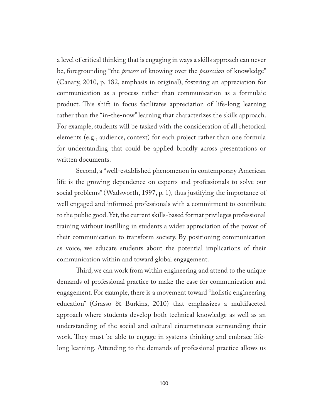a level of critical thinking that is engaging in ways a skills approach can never be, foregrounding "the *process* of knowing over the *possession* of knowledge" (Canary, 2010, p. 182, emphasis in original), fostering an appreciation for communication as a process rather than communication as a formulaic product. This shift in focus facilitates appreciation of life-long learning rather than the "in-the-now" learning that characterizes the skills approach. For example, students will be tasked with the consideration of all rhetorical elements (e.g., audience, context) for each project rather than one formula for understanding that could be applied broadly across presentations or written documents.

Second, a "well-established phenomenon in contemporary American life is the growing dependence on experts and professionals to solve our social problems" (Wadsworth, 1997, p. 1), thus justifying the importance of well engaged and informed professionals with a commitment to contribute to the public good. Yet, the current skills-based format privileges professional training without instilling in students a wider appreciation of the power of their communication to transform society. By positioning communication as voice, we educate students about the potential implications of their communication within and toward global engagement.

Third, we can work from within engineering and attend to the unique demands of professional practice to make the case for communication and engagement. For example, there is a movement toward "holistic engineering education" (Grasso & Burkins, 2010) that emphasizes a multifaceted approach where students develop both technical knowledge as well as an understanding of the social and cultural circumstances surrounding their work. They must be able to engage in systems thinking and embrace lifelong learning. Attending to the demands of professional practice allows us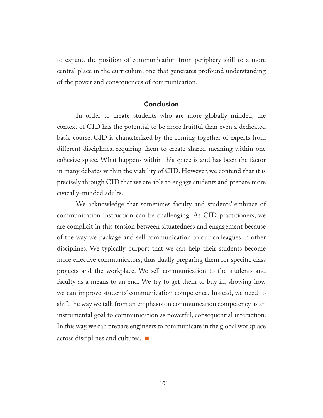to expand the position of communication from periphery skill to a more central place in the curriculum, one that generates profound understanding of the power and consequences of communication.

### Conclusion

In order to create students who are more globally minded, the context of CID has the potential to be more fruitful than even a dedicated basic course. CID is characterized by the coming together of experts from different disciplines, requiring them to create shared meaning within one cohesive space. What happens within this space is and has been the factor in many debates within the viability of CID. However, we contend that it is precisely through CID that we are able to engage students and prepare more civically-minded adults.

We acknowledge that sometimes faculty and students' embrace of communication instruction can be challenging. As CID practitioners, we are complicit in this tension between situatedness and engagement because of the way we package and sell communication to our colleagues in other disciplines. We typically purport that we can help their students become more effective communicators, thus dually preparing them for specific class projects and the workplace. We sell communication to the students and faculty as a means to an end. We try to get them to buy in, showing how we can improve students' communication competence. Instead, we need to shift the way we talk from an emphasis on communication competency as an instrumental goal to communication as powerful, consequential interaction. In this way, we can prepare engineers to communicate in the global workplace across disciplines and cultures. ■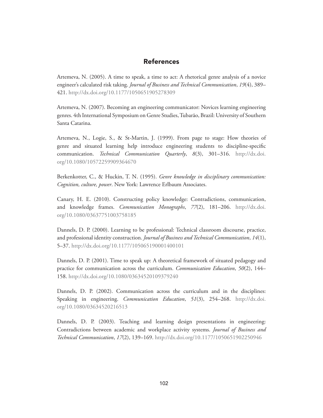#### References

Artemeva, N. (2005). A time to speak, a time to act: A rhetorical genre analysis of a novice engineer's calculated risk taking. *Journal of Business and Technical Communication*, *19*(4), 389– 421. <http://dx.doi.org/10.1177/1050651905278309>

Artemeva, N. (2007). Becoming an engineering communicator: Novices learning engineering genres. 4th International Symposium on Genre Studies, Tubarão, Brazil: University of Southern Santa Catarina.

Artemeva, N., Logie, S., & St-Martin, J. (1999). From page to stage: How theories of genre and situated learning help introduce engineering students to discipline-specific communication. *Technical Communication Quarterly*, *8*(3), 301–316. [http://dx.doi.](http://dx.doi.org/10.1080/10572259909364670) [org/10.1080/10572259909364670](http://dx.doi.org/10.1080/10572259909364670)

Berkenkotter, C., & Huckin, T. N. (1995). *Genre knowledge in disciplinary communication: Cognition, culture, power*. New York: Lawrence Erlbaum Associates.

Canary, H. E. (2010). Constructing policy knowledge: Contradictions, communication, and knowledge frames. *Communication Monographs*, *77*(2), 181–206. [http://dx.doi.](http://dx.doi.org/10.1080/03637751003758185) [org/10.1080/03637751003758185](http://dx.doi.org/10.1080/03637751003758185)

Dannels, D. P. (2000). Learning to be professional: Technical classroom discourse, practice, and professional identity construction. *Journal of Business and Technical Communication*, *14*(1), 5–37. <http://dx.doi.org/10.1177/105065190001400101>

Dannels, D. P. (2001). Time to speak up: A theoretical framework of situated pedagogy and practice for communication across the curriculum. *Communication Education*, *50*(2), 144– 158. <http://dx.doi.org/10.1080/03634520109379240>

Dannels, D. P. (2002). Communication across the curriculum and in the disciplines: Speaking in engineering. *Communication Education*, *51*(3), 254–268. [http://dx.doi.](http://dx.doi.org/10.1080/03634520216513) [org/10.1080/03634520216513](http://dx.doi.org/10.1080/03634520216513)

Dannels, D. P. (2003). Teaching and learning design presentations in engineering: Contradictions between academic and workplace activity systems. *Journal of Business and Technical Communication*, *17*(2), 139–169. <http://dx.doi.org/10.1177/1050651902250946>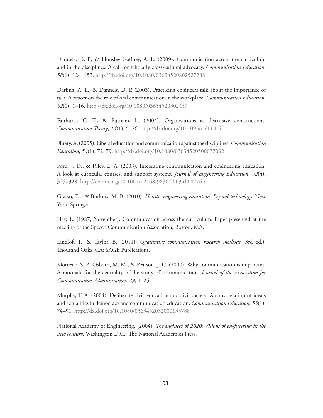Dannels, D. P., & Housley Gaffney, A. L. (2009). Communication across the curriculum and in the disciplines: A call for scholarly cross-cultural advocacy. *Communication Education*, *58*(1), 124–153.<http://dx.doi.org/10.1080/03634520802527288>

Darling, A. L., & Dannels, D. P. (2003). Practicing engineers talk about the importance of talk: A report on the role of oral communication in the workplace. *Communication Education*, *52*(1), 1–16. <http://dx.doi.org/10.1080/03634520302457>

Fairhurst, G. T., & Putnam, L. (2004). Organizations as discursive constructions. *Communication Theory*, *14*(1), 5–26.<http://dx.doi.org/10.1093/ct/14.1.5>

Fluery, A. (2005). Liberal education and communication against the disciplines. *Communication Education*, *54*(1), 72–79.<http://dx.doi.org/10.1080/03634520500077032>

Ford, J. D., & Riley, L. A. (2003). Integrating communication and engineering education: A look at curricula, courses, and support systems. *Journal of Engineering Education*, *92*(4), 325–328. <http://dx.doi.org/10.1002/j.2168-9830.2003.tb00776.x>

Grasso, D., & Burkins, M. B. (2010). *Holistic engineering education: Beyond technology*. New York: Springer.

Hay, E. (1987, November). Communication across the curriculum. Paper presented at the meeting of the Speech Communication Association, Boston, MA.

Lindlof, T., & Taylor, B. (2011). *Qualitative communication research methods* (3rd ed.). Thousand Oaks, CA: SAGE Publications.

Morreale, S. P., Osborn, M. M., & Pearson, J. C. (2000). Why communication is important: A rationale for the centrality of the study of communication. *Journal of the Association for Communication Administration*, *29*, 1–25.

Murphy, T. A. (2004). Deliberate civic education and civil society: A consideration of ideals and actualities in democracy and communication education. *Communication Education*, *53*(1), 74–91. <http://dx.doi.org/10.1080/0363452032000135788>

National Academy of Engineering. (2004). *The engineer of 2020: Visions of engineering in the new century*. Washington D.C.: The National Academies Press.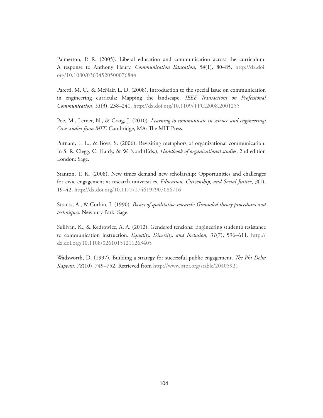Palmerton, P. R. (2005). Liberal education and communication across the curriculum: A response to Anthony Fleury. *Communication Education*, *54*(1), 80–85. [http://dx.doi.](http://dx.doi.org/10.1080/03634520500076844) [org/10.1080/03634520500076844](http://dx.doi.org/10.1080/03634520500076844)

Paretti, M. C., & McNair, L. D. (2008). Introduction to the special issue on communication in engineering curricula: Mapping the landscape, *IEEE Transactions on Professional Communication*, *51*(3), 238–241. <http://dx.doi.org/10.1109/TPC.2008.2001255>

Poe, M., Lerner, N., & Craig, J. (2010). *Learning to communicate in science and engineering: Case studies from MIT*. Cambridge, MA: The MIT Press.

Putnam, L. L., & Boys, S. (2006). Revisiting metaphors of organizational communication. In S. R. Clegg, C. Hardy, & W. Nord (Eds.), *Handbook of organizational studies*, 2nd edition London: Sage.

Stanton, T. K. (2008). New times demand new scholarship: Opportunities and challenges for civic engagement at research universities. *Education, Citizenship, and Social Justice*, *3*(1), 19–42. <http://dx.doi.org/10.1177/1746197907086716>

Strauss, A., & Corbin, J. (1990). *Basics of qualitative research: Grounded theory procedures and techniques*. Newbury Park: Sage.

Sullivan, K., & Kedrowicz, A. A. (2012). Gendered tensions: Engineering student's resistance to communication instruction. *Equality, Diversity, and Inclusion*, *31*(7), 596–611. [http://](http://dx.doi.org/10.1108/02610151211263405%20) [dx.doi.org/10.1108/02610151211263405](http://dx.doi.org/10.1108/02610151211263405%20)

Wadsworth, D. (1997). Building a strategy for successful public engagement. *The Phi Delta Kappan*, *78*(10), 749–752. Retrieved from<http://www.jstor.org/stable/20405921>